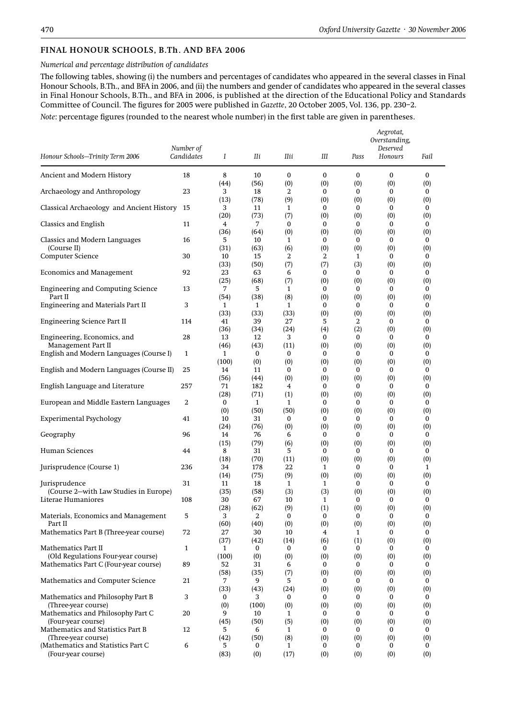## FINAL HONOUR SCHOOLS, B.Th. AND BFA 2006

## *Numerical and percentage distribution of candidates*

The following tables, showing (i) the numbers and percentages of candidates who appeared in the several classes in Final Honour Schools, B.Th., and BFA in 2006, and (ii) the numbers and gender of candidates who appeared in the several classes in Final Honour Schools, B.Th., and BFA in 2006, is published at the direction of the Educational Policy and Standards Committee of Council. The figures for 2005 were published in *Gazette*, 20 October 2005, Vol. 136, pp. 230–2.

*Note*: percentage figures (rounded to the nearest whole number) in the first table are given in parentheses.

|                                                             |            |                      |             |                 |          |          | Aegrotat,<br>Overstanding, |                        |
|-------------------------------------------------------------|------------|----------------------|-------------|-----------------|----------|----------|----------------------------|------------------------|
|                                                             | Number of  |                      |             |                 |          |          | Deserved                   |                        |
| Honour Schools-Trinity Term 2006                            | Candidates | Ι                    | Шi          | <b>IIii</b>     | Ш        | Pass     | Honours                    | Fail                   |
| Ancient and Modern History                                  | 18         | 8                    | 10          | $\bf{0}$        | $\bf{0}$ | $\bf{0}$ | $\bf{0}$                   | $\mathbf{0}$           |
| Archaeology and Anthropology                                | 23         | (44)<br>3            | (56)<br>18  | (0)<br>2        | (0)<br>0 | (0)<br>0 | (0)<br>$\bf{0}$            | (0)<br>0               |
|                                                             |            | (13)                 | (78)        | (9)             | (0)      | (0)      | (0)                        | (0)                    |
| Classical Archaeology and Ancient History 15                |            | 3<br>(20)            | 11<br>(73)  | 1<br>(7)        | 0<br>(0) | 0<br>(0) | $\bf{0}$<br>(0)            | 0<br>(0)               |
| Classics and English                                        | 11         | 4<br>(36)            | 7<br>(64)   | 0<br>(0)        | 0<br>(0) | 0<br>(0) | $\bf{0}$<br>(0)            | 0<br>(0)               |
| Classics and Modern Languages                               | 16         | 5                    | 10          | 1               | 0        | 0        | $\bf{0}$                   | 0                      |
| (Course II)<br>Computer Science                             | 30         | (31)<br>10           | (63)<br>15  | (6)<br>2        | (0)<br>2 | (0)<br>1 | (0)<br>$\bf{0}$            | (0)<br>0               |
|                                                             |            | (33)                 | (50)        | (7)             | (7)      | (3)      | (0)                        | $\left( 0\right)$      |
| <b>Economics and Management</b>                             | 92         | 23<br>(25)           | 63<br>(68)  | 6<br>(7)        | 0<br>(0) | 0<br>(0) | $\bf{0}$<br>(0)            | 0<br>(0)               |
| <b>Engineering and Computing Science</b>                    | 13         | 7                    | 5           | 1               | 0        | 0        | $\bf{0}$                   | 0                      |
| Part II<br>Engineering and Materials Part II                | 3          | (54)<br>1            | (38)<br>1   | (8)<br>1        | (0)<br>0 | (0)<br>0 | (0)<br>$\bf{0}$            | (0)<br>0               |
|                                                             |            | (33)                 | (33)<br>39  | (33)<br>27      | (0)      | (0)<br>2 | (0)<br>$\bf{0}$            | (0)<br>0               |
| Engineering Science Part II                                 | 114        | 41<br>(36)           | (34)        | (24)            | 5<br>(4) | (2)      | (0)                        | (0)                    |
| Engineering, Economics, and<br>Management Part II           | 28         | 13<br>(46)           | 12<br>(43)  | 3<br>(11)       | 0<br>(0) | 0<br>(0) | 0<br>(0)                   | $\bf{0}$<br>(0)        |
| English and Modern Languages (Course I)                     | 1          | $\mathbf{1}$         | 0           | 0               | 0        | 0        | $\bf{0}$                   | 0                      |
| English and Modern Languages (Course II)                    | 25         | (100)<br>14          | (0)<br>11   | (0)<br>0        | (0)<br>0 | (0)<br>0 | (0)<br>$\bf{0}$            | $\left( 0\right)$<br>0 |
|                                                             |            | (56)                 | (44)        | (0)             | (0)      | (0)      | (0)                        | (0)                    |
| English Language and Literature                             | 257        | 71<br>(28)           | 182<br>(71) | 4<br>(1)        | 0<br>(0) | 0<br>(0) | $\bf{0}$<br>(0)            | 0<br>(0)               |
| European and Middle Eastern Languages                       | 2          | 0                    | 1<br>(50)   | 1<br>(50)       | 0        | 0<br>(0) | $\bf{0}$<br>(0)            | 0<br>(0)               |
| <b>Experimental Psychology</b>                              | 41         | (0)<br>10            | 31          | 0               | (0)<br>0 | 0        | $\bf{0}$                   | 0                      |
| Geography                                                   | 96         | (24)<br>14           | (76)<br>76  | (0)<br>6        | (0)<br>0 | (0)<br>0 | (0)<br>$\bf{0}$            | (0)<br>0               |
|                                                             |            | (15)                 | (79)        | (6)             | (0)      | (0)      | (0)                        | (0)                    |
| Human Sciences                                              | 44         | 8<br>(18)            | 31<br>(70)  | 5<br>(11)       | 0<br>(0) | 0<br>(0) | 0<br>(0)                   | 0<br>(0)               |
| Jurisprudence (Course 1)                                    | 236        | 34                   | 178         | 22              | 1        | 0        | $\bf{0}$                   | 1                      |
| Jurisprudence                                               | 31         | (14)<br>11           | (75)<br>18  | (9)<br>1        | (0)<br>1 | (0)<br>0 | (0)<br>$\bf{0}$            | (0)<br>0               |
| (Course 2-with Law Studies in Europe)<br>Literae Humaniores | 108        | (35)<br>30           | (58)<br>67  | (3)<br>10       | (3)<br>1 | (0)<br>0 | (0)<br>$\bf{0}$            | (0)<br>$\bf{0}$        |
|                                                             |            | (28)                 | (62)        | (9)             | (1)      | (0)      | (0)                        | (0)                    |
| Materials, Economics and Management<br>Part II              | 5          | 3<br>(60)            | 2<br>(40)   | $\bf{0}$<br>(0) | 0<br>(0) | 0<br>(0) | 0<br>(0)                   | 0<br>(0)               |
| Mathematics Part B (Three-year course)                      | 72         | 27                   | 30          | 10              | 4        | 1        | $\Omega$                   | 0                      |
| <b>Mathematics Part II</b>                                  | 1          | (37)<br>$\mathbf{1}$ | (42)<br>0   | (14)<br>0       | (6)<br>0 | (1)<br>0 | (0)<br>0                   | (0)<br>0               |
| (Old Regulations Four-year course)                          |            | (100)                | (0)         | (0)             | (0)      | (0)      | (0)                        | (0)                    |
| Mathematics Part C (Four-year course)                       | 89         | 52<br>(58)           | 31<br>(35)  | 6<br>(7)        | 0<br>(0) | 0<br>(0) | $\mathbf{0}$<br>(0)        | 0<br>(0)               |
| Mathematics and Computer Science                            | 21         | 7<br>(33)            | 9<br>(43)   | 5<br>(24)       | 0<br>(0) | 0<br>(0) | $\mathbf{0}$<br>(0)        | 0<br>(0)               |
| Mathematics and Philosophy Part B                           | 3          | 0                    | 3           | 0               | 0        | 0        | $\bf{0}$                   | 0                      |
| (Three-year course)<br>Mathematics and Philosophy Part C    | 20         | (0)<br>9             | (100)<br>10 | (0)<br>1        | (0)<br>0 | (0)<br>0 | (0)<br>$\bf{0}$            | (0)<br>0               |
| (Four-year course)                                          |            | (45)                 | (50)        | (5)             | (0)      | (0)      | (0)                        | (0)                    |
| Mathematics and Statistics Part B<br>(Three-year course)    | 12         | 5.<br>(42)           | 6<br>(50)   | 1<br>(8)        | 0<br>(0) | 0<br>(0) | $\mathbf{0}$<br>(0)        | 0<br>(0)               |
| (Mathematics and Statistics Part C                          | 6          | 5                    | 0           | 1               | 0        | 0        | 0                          | 0                      |
| (Four-year course)                                          |            | (83)                 | (0)         | (17)            | (0)      | (0)      | (0)                        | (0)                    |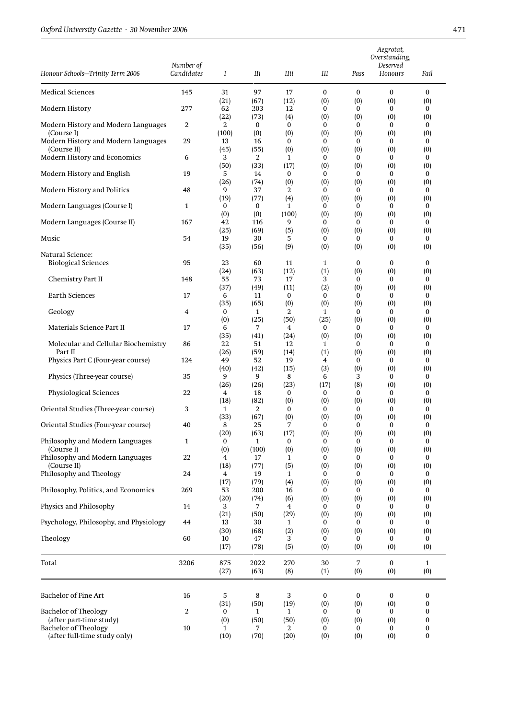|                                                        |                         |            |              |              |                 |                 | Aegrotat,<br>Overstanding, |                     |
|--------------------------------------------------------|-------------------------|------------|--------------|--------------|-----------------|-----------------|----------------------------|---------------------|
| Honour Schools-Trinity Term 2006                       | Number of<br>Candidates | Ι          | Шi           | IIii         | Ш               | Pass            | Deserved<br>Honours        | Fail                |
|                                                        |                         |            |              |              |                 |                 |                            |                     |
| <b>Medical Sciences</b>                                | 145                     | 31<br>(21) | 97<br>(67)   | 17<br>(12)   | $\bf{0}$<br>(0) | $\bf{0}$<br>(0) | $\bf{0}$<br>(0)            | $\bf{0}$<br>(0)     |
| Modern History                                         | 277                     | 62         | 203          | 12           | $\bf{0}$        | $\bf{0}$        | $\bf{0}$                   | 0                   |
| Modern History and Modern Languages                    | 2                       | (22)<br>2  | (73)<br>0    | (4)<br>0     | (0)<br>0        | (0)<br>$\bf{0}$ | (0)<br>0                   | (0)<br>0            |
| (Course I)                                             |                         | (100)      | (0)          | (0)          | (0)             | (0)             | (0)                        | (0)                 |
| Modern History and Modern Languages<br>(Course II)     | 29                      | 13<br>(45) | 16<br>(55)   | 0<br>(0)     | 0<br>(0)        | $\bf{0}$<br>(0) | $\bf{0}$<br>(0)            | 0<br>(0)            |
| Modern History and Economics                           | 6                       | 3          | 2            | 1            | $\bf{0}$        | $\mathbf{0}$    | 0                          | 0                   |
| Modern History and English                             | 19                      | (50)<br>5  | (33)<br>14   | (17)<br>0    | (0)<br>0        | (0)<br>0        | (0)<br>0                   | (0)<br>0            |
|                                                        |                         | (26)       | (74)         | (0)          | (0)             | (0)             | (0)                        | (0)                 |
| Modern History and Politics                            | 48                      | 9<br>(19)  | 37<br>(77)   | 2            | 0               | 0<br>(0)        | 0<br>(0)                   | 0<br>(0)            |
| Modern Languages (Course I)                            | 1                       | 0          | 0            | (4)<br>1     | (0)<br>$\bf{0}$ | $\bf{0}$        | $\bf{0}$                   | 0                   |
|                                                        |                         | (0)        | (0)          | (100)        | (0)             | (0)             | (0)                        | (0)                 |
| Modern Languages (Course II)                           | 167                     | 42<br>(25) | 116<br>(69)  | 9<br>(5)     | 0<br>(0)        | 0<br>(0)        | 0<br>(0)                   | 0<br>(0)            |
| Music                                                  | 54                      | 19         | 30           | 5            | 0               | 0               | 0                          | 0                   |
| Natural Science:                                       |                         | (35)       | (56)         | (9)          | (0)             | (0)             | (0)                        | (0)                 |
| <b>Biological Sciences</b>                             | 95                      | 23         | 60           | 11           | $\mathbf{1}$    | $\bf{0}$        | 0                          | 0                   |
| Chemistry Part II                                      | 148                     | (24)<br>55 | (63)<br>73   | (12)<br>17   | (1)<br>3        | (0)<br>$\bf{0}$ | (0)<br>0                   | (0)<br>0            |
|                                                        |                         | (37)       | (49)         | (11)         | (2)             | (0)             | (0)                        | (0)                 |
| <b>Earth Sciences</b>                                  | 17                      | 6<br>(35)  | 11<br>(65)   | 0<br>(0)     | 0<br>(0)        | 0<br>(0)        | 0<br>(0)                   | 0<br>(0)            |
| Geology                                                | 4                       | 0          | $\mathbf{1}$ | 2            | 1               | 0               | 0                          | $\bf{0}$            |
| Materials Science Part II                              | 17                      | (0)<br>6   | (25)<br>7    | (50)<br>4    | (25)<br>0       | (0)<br>0        | (0)<br>0                   | (0)<br>0            |
|                                                        |                         | (35)       | (41)         | (24)         | (0)             | (0)             | (0)                        | (0)                 |
| Molecular and Cellular Biochemistry                    | 86                      | 22         | 51           | 12           | 1               | 0               | 0                          | 0                   |
| Part II<br>Physics Part C (Four-year course)           | 124                     | (26)<br>49 | (59)<br>52   | (14)<br>19   | (1)<br>4        | (0)<br>$\bf{0}$ | (0)<br>$\bf{0}$            | (0)<br>0            |
|                                                        |                         | (40)       | (42)         | (15)         | (3)             | (0)             | (0)                        | (0)                 |
| Physics (Three-year course)                            | 35                      | 9<br>(26)  | 9<br>(26)    | 8<br>(23)    | 6<br>(17)       | 3<br>(8)        | 0<br>(0)                   | 0<br>(0)            |
| Physiological Sciences                                 | 22                      | 4          | 18           | 0            | 0               | 0               | 0                          | 0                   |
| Oriental Studies (Three-year course)                   | 3                       | (18)<br>1  | (82)<br>2    | (0)<br>0     | (0)<br>0        | (0)<br>0        | (0)<br>0                   | (0)<br>0            |
|                                                        |                         | (33)       | (67)         | (0)          | (0)             | (0)             | (0)                        | (0)                 |
| Oriental Studies (Four-year course)                    | 40                      | 8<br>(20)  | 25<br>(63)   | 7<br>(17)    | 0<br>(0)        | $\bf{0}$<br>(0) | 0<br>(0)                   | 0<br>(0)            |
| Philosophy and Modern Languages                        | $\mathbf{1}$            | 0          | $\mathbf{1}$ | 0            | 0               | 0               | 0                          | 0                   |
| (Course I)<br>Philosophy and Modern Languages          | 22                      | (0)        | (100)        | (0)          | (0)             | (0)             | (0)                        | (0)<br>$\Omega$     |
| (Course II)                                            |                         | 4<br>(18)  | 17<br>(77)   | 1<br>(5)     | $\bf{0}$<br>(0) | 0<br>(0)        | $\bf{0}$<br>(0)            | (0)                 |
| Philosophy and Theology                                | 24                      | 4          | 19           | $\mathbf{1}$ | 0               | $\bf{0}$        | 0                          | 0                   |
| Philosophy, Politics, and Economics                    | 269                     | (17)<br>53 | (79)<br>200  | (4)<br>16    | (0)<br>$\bf{0}$ | (0)<br>0        | (0)<br>0                   | (0)<br>0            |
|                                                        |                         | (20)       | (74)         | (6)          | (0)             | (0)             | (0)                        | (0)                 |
| Physics and Philosophy                                 | 14                      | 3<br>(21)  | 7<br>(50)    | 4<br>(29)    | 0<br>(0)        | 0<br>(0)        | 0<br>(0)                   | $\mathbf{0}$<br>(0) |
| Psychology, Philosophy, and Physiology                 | 44                      | 13         | 30           | $\mathbf{1}$ | 0               | $\bf{0}$        | 0                          | 0                   |
| Theology                                               | 60                      | (30)<br>10 | (68)<br>47   | (2)<br>3     | (0)<br>0        | (0)<br>0        | (0)<br>0                   | (0)<br>0            |
|                                                        |                         | (17)       | (78)         | (5)          | (0)             | (0)             | (0)                        | (0)                 |
| Total                                                  | 3206                    | 875        | 2022         | 270          | 30              | $\overline{7}$  | $\bf{0}$                   | $\mathbf{1}$        |
|                                                        |                         | (27)       | (63)         | (8)          | (1)             | (0)             | (0)                        | (0)                 |
| <b>Bachelor of Fine Art</b>                            | 16                      | 5          | 8            | 3            | $\bf{0}$        | $\bf{0}$        | 0                          | 0                   |
|                                                        |                         | (31)       | (50)         | (19)         | (0)             | (0)             | (0)                        | 0                   |
| <b>Bachelor of Theology</b>                            | 2                       | 0          | 1            | 1            | 0               | 0               | 0                          | 0                   |
| (after part-time study)<br><b>Bachelor</b> of Theology | $10$                    | (0)<br>1   | (50)<br>7    | (50)<br>2    | (0)<br>0        | (0)<br>0        | (0)<br>0                   | 0<br>0              |
| (after full-time study only)                           |                         | (10)       | (70)         | (20)         | (0)             | (0)             | (0)                        | 0                   |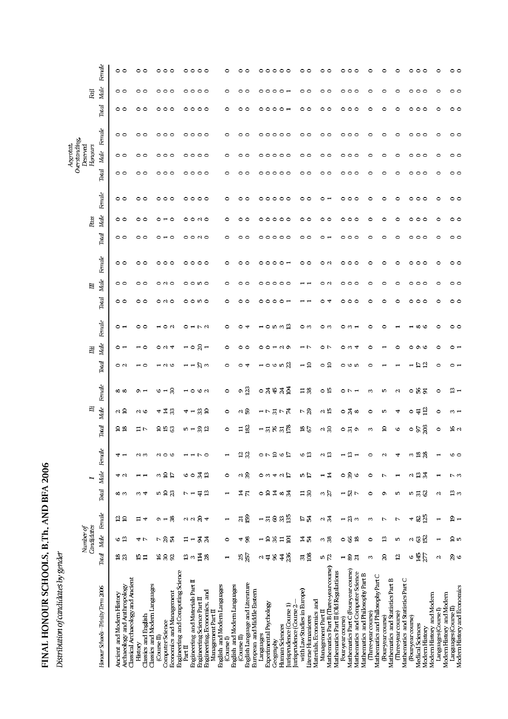| I                    |
|----------------------|
| $\frac{1}{1}$<br>I   |
|                      |
|                      |
|                      |
| i                    |
| こしょう こんくしょ           |
|                      |
|                      |
| ֠                    |
|                      |
|                      |
| ı                    |
| I                    |
| ı                    |
| $\frac{1}{2}$        |
|                      |
| $\ddot{\phantom{a}}$ |
|                      |
|                      |
|                      |
|                      |
|                      |
| I                    |
|                      |

Distribution of candidates by gender

| $\circ \circ \circ$<br>$\circ$<br>$\circ$<br>$\circ$ $\circ$<br>$\circ$<br>00<br>$\circ$ $\overline{ }$<br>$\circ$<br>$\circ$<br>$\circ$<br>$\circ$<br>$\circ$<br>$\circ$<br>$\circ$<br>。。。<br>$\circ$<br>$\circ$<br>$\circ$<br>$\circ$<br>00<br>00<br>$\circ \circ \circ$<br>$\circ$<br>$\circ$<br>$\circ$<br>O<br>$\circ$<br>$\circ$<br>$\circ$ $\sim$<br>00<br>$\circ$<br>$\circ$<br>$\circ$<br>$\circ$<br>$\circ$<br>$\circ$<br>$\circ$<br>$\circ$<br>00<br>00<br>$\circ \circ \circ$<br>0000<br>$\circ$<br>0<br>$\circ$<br>O<br>$\circ$<br>$\circ \circ \circ$<br>00<br>00<br>$\circ$<br>$\circ$<br>$\circ$<br>$\circ$<br>$\circ$<br>$\circ$<br>$\circ$<br>00<br>$\circ$<br>$\circ$<br>$\circ$<br>00<br>00<br>000<br>$\circ$<br>$\circ$<br>0<br>$\circ$<br>O<br>$\circ$<br>$\circ$<br>$\circ$<br>00<br>0<br>$\circ$<br>$\circ$<br>$\circ$<br>$\circ$<br>$\circ$<br>$\circ$<br>$\circ$<br>00<br>$\circ \circ \circ$<br>$\circ$ $\circ$<br>$\circ$<br>$\circ$<br>$\circ$<br>$\circ$ $\circ$<br>$\circ$<br>$\circ$ $\circ$<br>$\circ$<br>00<br>00<br>$\circ$<br>$\circ$ $\circ$<br>0<br>$\circ$<br>$\circ$<br>$\circ$<br>$\circ$<br>$\circ$<br>$\circ$<br>0<br>$\circ$<br>$\circ$<br>$\circ$<br>$\circ$<br>$\circ$<br>$\circ \circ \circ$<br>$\circ$<br>$\circ$ $\circ$<br>$\circ$<br>00<br>00<br>C<br>$\circ$<br>$\circ$<br>$\circ$<br>$\circ$<br>$\circ$<br>0<br>$\epsilon$<br>0<br>Ó<br>$\epsilon$<br>0<br>$\circ$<br>$\circ$<br>$\circ$<br>$\circ$<br>C<br>o<br>$\circ$<br>$\circ$<br>$\circ$<br>$\circ$<br>$\circ$ $\circ$<br>$\circ$<br>00<br>$\circ$ $\overline{ }$<br>$\circ$<br>00<br>$\sim$ $\circ$<br>$\circ$<br>$\circ$ $\circ$<br>$\circ$<br>$\circ$<br>$\circ$<br>$\circ$<br>$\circ$<br>$\circ$<br>$\circ$<br>0<br>$\circ$<br>$\circ$<br>0<br>$\circ$<br>$\circ$<br>0<br>00N<br>$\circ \circ \circ$<br>$\circ$<br>$\circ$<br>$\circ$<br>00<br>00<br>$\circ$ $\sim$ $\circ$<br>$\circ$<br>00<br>00<br>00<br>$\circ$ $\overline{\phantom{0}}$<br>0<br>$\circ$<br>$\circ$<br>$\circ$<br>$\circ$<br>$\circ$<br>$\circ$<br>$\circ \circ \circ$<br>$\circ$ $\circ$<br>$\circ$<br>$\circ$<br>$\circ$<br>$\circ$<br>$\circ$<br>$\circ$<br>00<br>$\circ$<br>O<br>$\circ$<br>$\circ$<br>$\circ$<br>$\circ$<br>$\circ$<br>00<br>$\circ$ $\circ$<br>$\circ$<br>$\circ$<br>$\circ$<br>$\circ$<br>$\circ$<br>o o 10 o<br>$\circ$<br>$\circ$<br>$\circ$<br>$\circ$<br>$\circ$<br>00<br>00<br>$\circ$ $\circ$<br>$\circ$<br>O<br>$\circ$<br>O<br>$\circ$<br>$\circ$<br>$\circ$<br>$\circ$ $\circ$<br>$\circ$<br>$\circ$<br>$\circ$<br>$\circ$<br>$\circ$<br>$\circ$<br>00<br>$\circ$<br>$\circ$ $\circ$<br>$\circ\circ\hspace{0.1cm}\circ\hspace{0.1cm}\circ$<br>$\circ$<br>00<br>00<br>$\circ$<br>$\circ$ $\overline{ }$<br>$\circ$ 4<br>0<br>$\circ$<br>$\circ$<br>$\circ$<br>$\circ$<br>$\circ \circ \circ$<br>$\circ$<br><b>ក០</b> ២ ១ ឌ<br>$\circ$ $\circ$<br>$\overline{a}$ $\overline{a}$<br>0 ന<br>0 ന<br>$\circ$<br>$\sim$ $\sim$<br>$\circ$ $\sim$<br>O H N<br>$\circ$<br>$\circ$<br>4<br>$\sim$ $-$<br>$\circ$<br>$\circ$<br>$\circ$<br>$\circ$<br>$\circ$<br>$\mathbf{\mathbf{\mathbf{\mathsf{H}}}}$<br>$8 -$<br>$\overline{a}$<br>$\circ$ $\circ$<br>$\circ$ $\sim$<br>$\circ$<br>$\circ$ $\circ$<br>$\circ$<br>$\circ$<br>$\circ$ $\sim$ $\sim$<br>$\circ$<br>00<br>$\blacksquare$<br>$\sim$ $\circ$<br>$\omega$<br>$\overline{\mathcal{A}}$<br>0<br>$\circ$<br>$\circ$<br>$\circ$<br>$\circ$ $\overline{\phantom{0}}$<br>$\blacksquare$<br>НÞ<br>$\sum_{i=1}^{n} a_i$<br>$\circ$ in $\%$<br>$\overline{a}$<br>$\circ$ $\circ$<br>$ \triangleright$ $\triangleright$ $\triangleright$<br>$\overline{\phantom{0}}$<br>$\circ$<br>$\circ$ $\circ$<br>$\overline{\phantom{a}}$ 0<br>$\overline{1} \wedge \overline{6}$<br>$\overline{\phantom{a}}$<br>$\circ$<br>$\circ$<br>4<br>ഄ<br>$\circ$<br>$\circ$<br>$\circ$ $\sim$<br>$\Xi$<br>$\overline{2}$<br>$\frac{45}{3}$<br>$\mathbb{Z}$<br>ុ ន ឌ<br>$\circ$ – $\approx$<br>০ শ্ল<br>$~\Xi~8$<br>$\circ$ 19<br>$\frac{13}{1}$<br>Q)<br>$\infty$ $\infty$<br>$\Omega$ $\overline{a}$<br>$\overline{\phantom{0}}$<br>$\circ$ $\sim$<br>$\circ$ $\sim$ $\sim$<br>$\infty$<br>w<br>$\mathbf{\sim}$<br>$\circ$<br>$\circ$<br>$\circ$ $\mp$ $\approx$<br>$\sim$ $\approx$<br>4 社 33<br>33 ຊ<br>$\sim 3$<br>17引7丸<br>下只<br>$\approx 15$<br>০ শ্ল<br>$\infty$<br>$\circ$<br>$\sim$ $\circ$<br>$4 -$<br>$\circ$<br>ю<br>4<br>$\circ$<br>$\sim$ $-$<br>$\overline{182}$<br>$R \pi$ $E$<br>$\mathbb{R}^2$<br>32<br>$\approx 8$<br>$\approx$<br>998<br>$\frac{8}{6}$<br>$\mathbf{a}$<br>$\frac{6}{5}$<br>$\frac{16}{2}$<br>$\Xi$<br>コト<br>⊣ ನ<br>$\mathbf{D}$ $\mathbf{H}$<br>೦ ನ<br>O)<br>m<br>G<br>$\circ$<br>$\circ$<br>$\frac{3}{2}$<br>$\overline{28}$<br>$\frac{2}{3}$<br>$\Xi$<br>$\frac{6}{2}$<br>ం ఇ<br>$\approx 2$<br>ಇ<br>$\sim$ $\circ$<br>$\sim$<br>ဖဝ<br>4<br>$\sim$ $\sim$<br>G<br>r o<br>$\overline{\phantom{0}}$<br>$\circ$<br>$\mathbf{\sim}$<br>4<br>$\mathbf{\mathbf{r}}$<br>٣<br>$\mathbf{\mathbf{r}}$<br>$\frac{1}{2}$ ¤<br>$\approx 3$<br>$\frac{1}{2}$<br>39<br>$\approx 2$<br>$\mathfrak{F}$<br>4<br>$\sim$ $\overline{D}$<br>$\circ$ $\circ$<br>¤ ¤<br>$\circ$<br>$\circ$<br>o m<br>4<br>$\circ$<br>$\circ$<br>4 U<br>ω<br>$\blacksquare$<br>Ņ<br>ΓW<br>ب ب<br>$\mathbf{\mathbf{t}}$<br>٣<br>$n \n  2$<br>42<br>はた<br>$\circ$ $\circ$<br>$\sharp \circ \sharp$<br>$\Xi$ $\Omega$<br>$-85$<br>$\infty$<br>$\frac{m}{2}$<br>$\frac{3}{27}$<br>ს უ<br>$\overline{C}$<br>$\circ$<br>თ ო<br>ল ব<br>O)<br>ю<br>$\mathbf{\sim}$<br>$\mathbf{\mathbf{t}}$<br>$\frac{2}{15}$<br>ន ន្ទ<br>125<br>$\frac{1}{2}$<br>$\rm 8$<br>$\pmb{\mathcal{Z}}$<br>$\approx$ $-$<br>$\mathbf{a}$<br>$\boldsymbol{\mathcal{B}}$<br>$\overline{5}$<br>$\sim$ $\frac{1}{2}$<br>$-80$<br>P<br>口品<br>ᄇ<br>4<br>4<br>$\Omega$ $\overline{a}$<br>$\infty$<br>Ņ<br>Ņ<br>$\blacksquare$<br>152<br>12.87<br>ಕ ಸ<br>48<br>$-9$<br>$\%$<br>$\overline{5}$<br>$\sim$ $\otimes$<br>७ ಇ<br>$\overline{\mathbf{H}}$<br>보 보<br>ო ჯ<br>ం శ్ర<br>$\frac{8}{16}$<br>$\mathbf{a}$<br>ິດ<br>ເ<br>41 L<br>ᄇ<br>$\blacksquare$<br>$\circ$<br>$\circ$<br>ю<br>$\overline{ }$<br><b>257</b><br>145<br>14<br>236<br>គ ខ្ន<br>277<br>$\approx$<br>$\frac{8}{2}$<br>28<br>88<br>4<br>n K<br>8<br>$\boldsymbol{S}$<br>প্ত ও<br>$\frac{15}{11}$<br>$\overline{5}$<br>$\frac{m}{2}$<br>$\overline{a}$<br>$\sim$ $\pm$<br>$\overline{\mathbf{z}}$<br>$\blacksquare$<br>$\blacksquare$<br>S<br>G<br>$\mathbf{\sim}$<br>Mathematics Part B (Threeyear course)<br>Mathematics Part C (Four-year course)<br>Engineering and Computing Science<br>Mathematics Part II (Old Regulations<br>Mathematics and Computer Science<br>Mathematics and Philosophy Part B<br>Mathematics and Philosophy Part C<br>Classical Archaeology and Ancient<br>Mathematics and Statistics Part B<br>Mathematics and Statistics Part C<br>Engineering and Materials Part II<br>English Language and Literature<br>Classics and Modern Languages<br>English and Modern Languages<br>Archaeology and Anthropology<br>English and Modern Languages<br>Modern History and Economics<br>European and Middle Eastern<br>with Law Studies in Europe)<br>Engineering, Economics, and<br>Economics and Management<br>Ancient and Modern History<br>Modern History and Modern<br>Modern History and Modern<br>Engineering Science Part II<br>Materials, Economics and<br>Experimental Psychology<br>(misprudence (Course 1)<br>urisprudence (Course 2<br>Languages (Course II)<br>Languages (Course I)<br>Management Part II<br>Management Part II<br>(Three year course)<br>(Three year course)<br>Classics and English<br>(Fouryear course)<br>Literae Humaniores<br>(Four year course)<br>Four year course)<br>Computer Science<br>Medical Sciences<br>Human Sciences<br>Modern History<br>Languages<br>(Course II)<br>(Course II)<br>(Course I)<br>Geography<br>History<br>Part II | Howaur Schools-Trinity Term 2006 | Candidates<br>Number of | Total Male Fernale | Total | Male<br>H | Fernale | Total | Ë<br>Male | Fenale | Total | Male<br>$\rm H$ | Fenale | <b>Total</b> | Male<br>$\Box$ | Fenale | <b>Total</b> | $\textit{Male}$<br>Pass | Fernale | Total | Overstanding,<br>Aegrotat,<br>Deserved<br>Honours<br>Male | Fenale | Total | Male<br>Fail |         |
|--------------------------------------------------------------------------------------------------------------------------------------------------------------------------------------------------------------------------------------------------------------------------------------------------------------------------------------------------------------------------------------------------------------------------------------------------------------------------------------------------------------------------------------------------------------------------------------------------------------------------------------------------------------------------------------------------------------------------------------------------------------------------------------------------------------------------------------------------------------------------------------------------------------------------------------------------------------------------------------------------------------------------------------------------------------------------------------------------------------------------------------------------------------------------------------------------------------------------------------------------------------------------------------------------------------------------------------------------------------------------------------------------------------------------------------------------------------------------------------------------------------------------------------------------------------------------------------------------------------------------------------------------------------------------------------------------------------------------------------------------------------------------------------------------------------------------------------------------------------------------------------------------------------------------------------------------------------------------------------------------------------------------------------------------------------------------------------------------------------------------------------------------------------------------------------------------------------------------------------------------------------------------------------------------------------------------------------------------------------------------------------------------------------------------------------------------------------------------------------------------------------------------------------------------------------------------------------------------------------------------------------------------------------------------------------------------------------------------------------------------------------------------------------------------------------------------------------------------------------------------------------------------------------------------------------------------------------------------------------------------------------------------------------------------------------------------------------------------------------------------------------------------------------------------------------------------------------------------------------------------------------------------------------------------------------------------------------------------------------------------------------------------------------------------------------------------------------------------------------------------------------------------------------------------------------------------------------------------------------------------------------------------------------------------------------------------------------------------------------------------------------------------------------------------------------------------------------------------------------------------------------------------------------------------------------------------------------------------------------------------------------------------------------------------------------------------------------------------------------------------------------------------------------------------------------------------------------------------------------------------------------------------------------------------------------------------------------------------------------------------------------------------------------------------------------------------------------------------------------------------------------------------------------------------------------------------------------------------------------------------------------------------------------------------------------------------------------------------------------------------------------------------------------------------------------------------------------------------------------------------------------------------------------------------------------------------------------------------------------------------------------------------------------------------------------------------------------------------------------------------------------------------------------------------------------------------------------------------------------------------------------------------------------------------------------------------------------------------------------------------------------------------------------------------------------------------------------------------------------------------------------------------------------------------------------------------------------------------------------------------------------------------------------------------------------------------------------------------------------------------------------------------------------------------------------------------------------------------------------------------------------------------------------------------------------------------------------------------------------------------------------------------------------------------------------------------------------------------------------------------------------------------------------------------------------------------------------------------------------------------------------------------------------------------------------------------------------------------------------------------------------------------------------------------------------------------------------------------------------------------------------------------------------------------------------------------------------------------------------------------------------------------------------------------------------------------------------------------------------------------------------------------------------------------------------------------------------------------------------------------------------------------------------------------------------------------------------------------------------------------------------------------------------------------------------------------------------------------------------------------------------------------------------------------------------------------------------------------------------------------------------------------------------------------------------------------------------------------------------------------------------------------------------------------------------------------------------------------------------------------------------------------------------------------------------------------------------------------------------------------------------------------------------------------------------------------------------------------------------------------------------------------------------------------------------------------------------------------------------------|----------------------------------|-------------------------|--------------------|-------|-----------|---------|-------|-----------|--------|-------|-----------------|--------|--------------|----------------|--------|--------------|-------------------------|---------|-------|-----------------------------------------------------------|--------|-------|--------------|---------|
|                                                                                                                                                                                                                                                                                                                                                                                                                                                                                                                                                                                                                                                                                                                                                                                                                                                                                                                                                                                                                                                                                                                                                                                                                                                                                                                                                                                                                                                                                                                                                                                                                                                                                                                                                                                                                                                                                                                                                                                                                                                                                                                                                                                                                                                                                                                                                                                                                                                                                                                                                                                                                                                                                                                                                                                                                                                                                                                                                                                                                                                                                                                                                                                                                                                                                                                                                                                                                                                                                                                                                                                                                                                                                                                                                                                                                                                                                                                                                                                                                                                                                                                                                                                                                                                                                                                                                                                                                                                                                                                                                                                                                                                                                                                                                                                                                                                                                                                                                                                                                                                                                                                                                                                                                                                                                                                                                                                                                                                                                                                                                                                                                                                                                                                                                                                                                                                                                                                                                                                                                                                                                                                                                                                                                                                                                                                                                                                                                                                                                                                                                                                                                                                                                                                                                                                                                                                                                                                                                                                                                                                                                                                                                                                                                                                                                                                                                                                                                                                                                                                                                                                                                                                                                                                                                                                                                                                                    |                                  |                         |                    |       |           |         |       |           |        |       |                 |        |              |                |        |              |                         |         |       |                                                           |        |       |              |         |
|                                                                                                                                                                                                                                                                                                                                                                                                                                                                                                                                                                                                                                                                                                                                                                                                                                                                                                                                                                                                                                                                                                                                                                                                                                                                                                                                                                                                                                                                                                                                                                                                                                                                                                                                                                                                                                                                                                                                                                                                                                                                                                                                                                                                                                                                                                                                                                                                                                                                                                                                                                                                                                                                                                                                                                                                                                                                                                                                                                                                                                                                                                                                                                                                                                                                                                                                                                                                                                                                                                                                                                                                                                                                                                                                                                                                                                                                                                                                                                                                                                                                                                                                                                                                                                                                                                                                                                                                                                                                                                                                                                                                                                                                                                                                                                                                                                                                                                                                                                                                                                                                                                                                                                                                                                                                                                                                                                                                                                                                                                                                                                                                                                                                                                                                                                                                                                                                                                                                                                                                                                                                                                                                                                                                                                                                                                                                                                                                                                                                                                                                                                                                                                                                                                                                                                                                                                                                                                                                                                                                                                                                                                                                                                                                                                                                                                                                                                                                                                                                                                                                                                                                                                                                                                                                                                                                                                                                    |                                  |                         |                    |       |           |         |       |           |        |       |                 |        |              |                |        |              |                         |         |       |                                                           |        |       |              | $\circ$ |
|                                                                                                                                                                                                                                                                                                                                                                                                                                                                                                                                                                                                                                                                                                                                                                                                                                                                                                                                                                                                                                                                                                                                                                                                                                                                                                                                                                                                                                                                                                                                                                                                                                                                                                                                                                                                                                                                                                                                                                                                                                                                                                                                                                                                                                                                                                                                                                                                                                                                                                                                                                                                                                                                                                                                                                                                                                                                                                                                                                                                                                                                                                                                                                                                                                                                                                                                                                                                                                                                                                                                                                                                                                                                                                                                                                                                                                                                                                                                                                                                                                                                                                                                                                                                                                                                                                                                                                                                                                                                                                                                                                                                                                                                                                                                                                                                                                                                                                                                                                                                                                                                                                                                                                                                                                                                                                                                                                                                                                                                                                                                                                                                                                                                                                                                                                                                                                                                                                                                                                                                                                                                                                                                                                                                                                                                                                                                                                                                                                                                                                                                                                                                                                                                                                                                                                                                                                                                                                                                                                                                                                                                                                                                                                                                                                                                                                                                                                                                                                                                                                                                                                                                                                                                                                                                                                                                                                                                    |                                  |                         |                    |       |           |         |       |           |        |       |                 |        |              |                |        |              |                         |         |       |                                                           |        |       |              |         |
|                                                                                                                                                                                                                                                                                                                                                                                                                                                                                                                                                                                                                                                                                                                                                                                                                                                                                                                                                                                                                                                                                                                                                                                                                                                                                                                                                                                                                                                                                                                                                                                                                                                                                                                                                                                                                                                                                                                                                                                                                                                                                                                                                                                                                                                                                                                                                                                                                                                                                                                                                                                                                                                                                                                                                                                                                                                                                                                                                                                                                                                                                                                                                                                                                                                                                                                                                                                                                                                                                                                                                                                                                                                                                                                                                                                                                                                                                                                                                                                                                                                                                                                                                                                                                                                                                                                                                                                                                                                                                                                                                                                                                                                                                                                                                                                                                                                                                                                                                                                                                                                                                                                                                                                                                                                                                                                                                                                                                                                                                                                                                                                                                                                                                                                                                                                                                                                                                                                                                                                                                                                                                                                                                                                                                                                                                                                                                                                                                                                                                                                                                                                                                                                                                                                                                                                                                                                                                                                                                                                                                                                                                                                                                                                                                                                                                                                                                                                                                                                                                                                                                                                                                                                                                                                                                                                                                                                                    |                                  |                         |                    |       |           |         |       |           |        |       |                 |        |              |                |        |              |                         |         |       |                                                           |        |       |              | 00      |
|                                                                                                                                                                                                                                                                                                                                                                                                                                                                                                                                                                                                                                                                                                                                                                                                                                                                                                                                                                                                                                                                                                                                                                                                                                                                                                                                                                                                                                                                                                                                                                                                                                                                                                                                                                                                                                                                                                                                                                                                                                                                                                                                                                                                                                                                                                                                                                                                                                                                                                                                                                                                                                                                                                                                                                                                                                                                                                                                                                                                                                                                                                                                                                                                                                                                                                                                                                                                                                                                                                                                                                                                                                                                                                                                                                                                                                                                                                                                                                                                                                                                                                                                                                                                                                                                                                                                                                                                                                                                                                                                                                                                                                                                                                                                                                                                                                                                                                                                                                                                                                                                                                                                                                                                                                                                                                                                                                                                                                                                                                                                                                                                                                                                                                                                                                                                                                                                                                                                                                                                                                                                                                                                                                                                                                                                                                                                                                                                                                                                                                                                                                                                                                                                                                                                                                                                                                                                                                                                                                                                                                                                                                                                                                                                                                                                                                                                                                                                                                                                                                                                                                                                                                                                                                                                                                                                                                                                    |                                  |                         |                    |       |           |         |       |           |        |       |                 |        |              |                |        |              |                         |         |       |                                                           |        |       |              |         |
|                                                                                                                                                                                                                                                                                                                                                                                                                                                                                                                                                                                                                                                                                                                                                                                                                                                                                                                                                                                                                                                                                                                                                                                                                                                                                                                                                                                                                                                                                                                                                                                                                                                                                                                                                                                                                                                                                                                                                                                                                                                                                                                                                                                                                                                                                                                                                                                                                                                                                                                                                                                                                                                                                                                                                                                                                                                                                                                                                                                                                                                                                                                                                                                                                                                                                                                                                                                                                                                                                                                                                                                                                                                                                                                                                                                                                                                                                                                                                                                                                                                                                                                                                                                                                                                                                                                                                                                                                                                                                                                                                                                                                                                                                                                                                                                                                                                                                                                                                                                                                                                                                                                                                                                                                                                                                                                                                                                                                                                                                                                                                                                                                                                                                                                                                                                                                                                                                                                                                                                                                                                                                                                                                                                                                                                                                                                                                                                                                                                                                                                                                                                                                                                                                                                                                                                                                                                                                                                                                                                                                                                                                                                                                                                                                                                                                                                                                                                                                                                                                                                                                                                                                                                                                                                                                                                                                                                                    |                                  |                         |                    |       |           |         |       |           |        |       |                 |        |              |                |        |              |                         |         |       |                                                           |        |       |              |         |
|                                                                                                                                                                                                                                                                                                                                                                                                                                                                                                                                                                                                                                                                                                                                                                                                                                                                                                                                                                                                                                                                                                                                                                                                                                                                                                                                                                                                                                                                                                                                                                                                                                                                                                                                                                                                                                                                                                                                                                                                                                                                                                                                                                                                                                                                                                                                                                                                                                                                                                                                                                                                                                                                                                                                                                                                                                                                                                                                                                                                                                                                                                                                                                                                                                                                                                                                                                                                                                                                                                                                                                                                                                                                                                                                                                                                                                                                                                                                                                                                                                                                                                                                                                                                                                                                                                                                                                                                                                                                                                                                                                                                                                                                                                                                                                                                                                                                                                                                                                                                                                                                                                                                                                                                                                                                                                                                                                                                                                                                                                                                                                                                                                                                                                                                                                                                                                                                                                                                                                                                                                                                                                                                                                                                                                                                                                                                                                                                                                                                                                                                                                                                                                                                                                                                                                                                                                                                                                                                                                                                                                                                                                                                                                                                                                                                                                                                                                                                                                                                                                                                                                                                                                                                                                                                                                                                                                                                    |                                  |                         |                    |       |           |         |       |           |        |       |                 |        |              |                |        |              |                         |         |       |                                                           |        |       |              |         |
|                                                                                                                                                                                                                                                                                                                                                                                                                                                                                                                                                                                                                                                                                                                                                                                                                                                                                                                                                                                                                                                                                                                                                                                                                                                                                                                                                                                                                                                                                                                                                                                                                                                                                                                                                                                                                                                                                                                                                                                                                                                                                                                                                                                                                                                                                                                                                                                                                                                                                                                                                                                                                                                                                                                                                                                                                                                                                                                                                                                                                                                                                                                                                                                                                                                                                                                                                                                                                                                                                                                                                                                                                                                                                                                                                                                                                                                                                                                                                                                                                                                                                                                                                                                                                                                                                                                                                                                                                                                                                                                                                                                                                                                                                                                                                                                                                                                                                                                                                                                                                                                                                                                                                                                                                                                                                                                                                                                                                                                                                                                                                                                                                                                                                                                                                                                                                                                                                                                                                                                                                                                                                                                                                                                                                                                                                                                                                                                                                                                                                                                                                                                                                                                                                                                                                                                                                                                                                                                                                                                                                                                                                                                                                                                                                                                                                                                                                                                                                                                                                                                                                                                                                                                                                                                                                                                                                                                                    |                                  |                         |                    |       |           |         |       |           |        |       |                 |        |              |                |        |              |                         |         |       |                                                           |        |       |              |         |
|                                                                                                                                                                                                                                                                                                                                                                                                                                                                                                                                                                                                                                                                                                                                                                                                                                                                                                                                                                                                                                                                                                                                                                                                                                                                                                                                                                                                                                                                                                                                                                                                                                                                                                                                                                                                                                                                                                                                                                                                                                                                                                                                                                                                                                                                                                                                                                                                                                                                                                                                                                                                                                                                                                                                                                                                                                                                                                                                                                                                                                                                                                                                                                                                                                                                                                                                                                                                                                                                                                                                                                                                                                                                                                                                                                                                                                                                                                                                                                                                                                                                                                                                                                                                                                                                                                                                                                                                                                                                                                                                                                                                                                                                                                                                                                                                                                                                                                                                                                                                                                                                                                                                                                                                                                                                                                                                                                                                                                                                                                                                                                                                                                                                                                                                                                                                                                                                                                                                                                                                                                                                                                                                                                                                                                                                                                                                                                                                                                                                                                                                                                                                                                                                                                                                                                                                                                                                                                                                                                                                                                                                                                                                                                                                                                                                                                                                                                                                                                                                                                                                                                                                                                                                                                                                                                                                                                                                    |                                  |                         |                    |       |           |         |       |           |        |       |                 |        |              |                |        |              |                         |         |       |                                                           |        |       |              |         |
|                                                                                                                                                                                                                                                                                                                                                                                                                                                                                                                                                                                                                                                                                                                                                                                                                                                                                                                                                                                                                                                                                                                                                                                                                                                                                                                                                                                                                                                                                                                                                                                                                                                                                                                                                                                                                                                                                                                                                                                                                                                                                                                                                                                                                                                                                                                                                                                                                                                                                                                                                                                                                                                                                                                                                                                                                                                                                                                                                                                                                                                                                                                                                                                                                                                                                                                                                                                                                                                                                                                                                                                                                                                                                                                                                                                                                                                                                                                                                                                                                                                                                                                                                                                                                                                                                                                                                                                                                                                                                                                                                                                                                                                                                                                                                                                                                                                                                                                                                                                                                                                                                                                                                                                                                                                                                                                                                                                                                                                                                                                                                                                                                                                                                                                                                                                                                                                                                                                                                                                                                                                                                                                                                                                                                                                                                                                                                                                                                                                                                                                                                                                                                                                                                                                                                                                                                                                                                                                                                                                                                                                                                                                                                                                                                                                                                                                                                                                                                                                                                                                                                                                                                                                                                                                                                                                                                                                                    |                                  |                         |                    |       |           |         |       |           |        |       |                 |        |              |                |        |              |                         |         |       |                                                           |        |       |              |         |
|                                                                                                                                                                                                                                                                                                                                                                                                                                                                                                                                                                                                                                                                                                                                                                                                                                                                                                                                                                                                                                                                                                                                                                                                                                                                                                                                                                                                                                                                                                                                                                                                                                                                                                                                                                                                                                                                                                                                                                                                                                                                                                                                                                                                                                                                                                                                                                                                                                                                                                                                                                                                                                                                                                                                                                                                                                                                                                                                                                                                                                                                                                                                                                                                                                                                                                                                                                                                                                                                                                                                                                                                                                                                                                                                                                                                                                                                                                                                                                                                                                                                                                                                                                                                                                                                                                                                                                                                                                                                                                                                                                                                                                                                                                                                                                                                                                                                                                                                                                                                                                                                                                                                                                                                                                                                                                                                                                                                                                                                                                                                                                                                                                                                                                                                                                                                                                                                                                                                                                                                                                                                                                                                                                                                                                                                                                                                                                                                                                                                                                                                                                                                                                                                                                                                                                                                                                                                                                                                                                                                                                                                                                                                                                                                                                                                                                                                                                                                                                                                                                                                                                                                                                                                                                                                                                                                                                                                    |                                  |                         |                    |       |           |         |       |           |        |       |                 |        |              |                |        |              |                         |         |       |                                                           |        |       |              |         |
|                                                                                                                                                                                                                                                                                                                                                                                                                                                                                                                                                                                                                                                                                                                                                                                                                                                                                                                                                                                                                                                                                                                                                                                                                                                                                                                                                                                                                                                                                                                                                                                                                                                                                                                                                                                                                                                                                                                                                                                                                                                                                                                                                                                                                                                                                                                                                                                                                                                                                                                                                                                                                                                                                                                                                                                                                                                                                                                                                                                                                                                                                                                                                                                                                                                                                                                                                                                                                                                                                                                                                                                                                                                                                                                                                                                                                                                                                                                                                                                                                                                                                                                                                                                                                                                                                                                                                                                                                                                                                                                                                                                                                                                                                                                                                                                                                                                                                                                                                                                                                                                                                                                                                                                                                                                                                                                                                                                                                                                                                                                                                                                                                                                                                                                                                                                                                                                                                                                                                                                                                                                                                                                                                                                                                                                                                                                                                                                                                                                                                                                                                                                                                                                                                                                                                                                                                                                                                                                                                                                                                                                                                                                                                                                                                                                                                                                                                                                                                                                                                                                                                                                                                                                                                                                                                                                                                                                                    |                                  |                         |                    |       |           |         |       |           |        |       |                 |        |              |                |        |              |                         |         |       |                                                           |        |       |              |         |
|                                                                                                                                                                                                                                                                                                                                                                                                                                                                                                                                                                                                                                                                                                                                                                                                                                                                                                                                                                                                                                                                                                                                                                                                                                                                                                                                                                                                                                                                                                                                                                                                                                                                                                                                                                                                                                                                                                                                                                                                                                                                                                                                                                                                                                                                                                                                                                                                                                                                                                                                                                                                                                                                                                                                                                                                                                                                                                                                                                                                                                                                                                                                                                                                                                                                                                                                                                                                                                                                                                                                                                                                                                                                                                                                                                                                                                                                                                                                                                                                                                                                                                                                                                                                                                                                                                                                                                                                                                                                                                                                                                                                                                                                                                                                                                                                                                                                                                                                                                                                                                                                                                                                                                                                                                                                                                                                                                                                                                                                                                                                                                                                                                                                                                                                                                                                                                                                                                                                                                                                                                                                                                                                                                                                                                                                                                                                                                                                                                                                                                                                                                                                                                                                                                                                                                                                                                                                                                                                                                                                                                                                                                                                                                                                                                                                                                                                                                                                                                                                                                                                                                                                                                                                                                                                                                                                                                                                    |                                  |                         |                    |       |           |         |       |           |        |       |                 |        |              |                |        |              |                         |         |       |                                                           |        |       |              |         |
|                                                                                                                                                                                                                                                                                                                                                                                                                                                                                                                                                                                                                                                                                                                                                                                                                                                                                                                                                                                                                                                                                                                                                                                                                                                                                                                                                                                                                                                                                                                                                                                                                                                                                                                                                                                                                                                                                                                                                                                                                                                                                                                                                                                                                                                                                                                                                                                                                                                                                                                                                                                                                                                                                                                                                                                                                                                                                                                                                                                                                                                                                                                                                                                                                                                                                                                                                                                                                                                                                                                                                                                                                                                                                                                                                                                                                                                                                                                                                                                                                                                                                                                                                                                                                                                                                                                                                                                                                                                                                                                                                                                                                                                                                                                                                                                                                                                                                                                                                                                                                                                                                                                                                                                                                                                                                                                                                                                                                                                                                                                                                                                                                                                                                                                                                                                                                                                                                                                                                                                                                                                                                                                                                                                                                                                                                                                                                                                                                                                                                                                                                                                                                                                                                                                                                                                                                                                                                                                                                                                                                                                                                                                                                                                                                                                                                                                                                                                                                                                                                                                                                                                                                                                                                                                                                                                                                                                                    |                                  |                         |                    |       |           |         |       |           |        |       |                 |        |              |                |        |              |                         |         |       |                                                           |        |       |              | $\circ$ |
|                                                                                                                                                                                                                                                                                                                                                                                                                                                                                                                                                                                                                                                                                                                                                                                                                                                                                                                                                                                                                                                                                                                                                                                                                                                                                                                                                                                                                                                                                                                                                                                                                                                                                                                                                                                                                                                                                                                                                                                                                                                                                                                                                                                                                                                                                                                                                                                                                                                                                                                                                                                                                                                                                                                                                                                                                                                                                                                                                                                                                                                                                                                                                                                                                                                                                                                                                                                                                                                                                                                                                                                                                                                                                                                                                                                                                                                                                                                                                                                                                                                                                                                                                                                                                                                                                                                                                                                                                                                                                                                                                                                                                                                                                                                                                                                                                                                                                                                                                                                                                                                                                                                                                                                                                                                                                                                                                                                                                                                                                                                                                                                                                                                                                                                                                                                                                                                                                                                                                                                                                                                                                                                                                                                                                                                                                                                                                                                                                                                                                                                                                                                                                                                                                                                                                                                                                                                                                                                                                                                                                                                                                                                                                                                                                                                                                                                                                                                                                                                                                                                                                                                                                                                                                                                                                                                                                                                                    |                                  |                         |                    |       |           |         |       |           |        |       |                 |        |              |                |        |              |                         |         |       |                                                           |        |       |              |         |
|                                                                                                                                                                                                                                                                                                                                                                                                                                                                                                                                                                                                                                                                                                                                                                                                                                                                                                                                                                                                                                                                                                                                                                                                                                                                                                                                                                                                                                                                                                                                                                                                                                                                                                                                                                                                                                                                                                                                                                                                                                                                                                                                                                                                                                                                                                                                                                                                                                                                                                                                                                                                                                                                                                                                                                                                                                                                                                                                                                                                                                                                                                                                                                                                                                                                                                                                                                                                                                                                                                                                                                                                                                                                                                                                                                                                                                                                                                                                                                                                                                                                                                                                                                                                                                                                                                                                                                                                                                                                                                                                                                                                                                                                                                                                                                                                                                                                                                                                                                                                                                                                                                                                                                                                                                                                                                                                                                                                                                                                                                                                                                                                                                                                                                                                                                                                                                                                                                                                                                                                                                                                                                                                                                                                                                                                                                                                                                                                                                                                                                                                                                                                                                                                                                                                                                                                                                                                                                                                                                                                                                                                                                                                                                                                                                                                                                                                                                                                                                                                                                                                                                                                                                                                                                                                                                                                                                                                    |                                  |                         |                    |       |           |         |       |           |        |       |                 |        |              |                |        |              |                         |         |       |                                                           |        |       |              |         |
|                                                                                                                                                                                                                                                                                                                                                                                                                                                                                                                                                                                                                                                                                                                                                                                                                                                                                                                                                                                                                                                                                                                                                                                                                                                                                                                                                                                                                                                                                                                                                                                                                                                                                                                                                                                                                                                                                                                                                                                                                                                                                                                                                                                                                                                                                                                                                                                                                                                                                                                                                                                                                                                                                                                                                                                                                                                                                                                                                                                                                                                                                                                                                                                                                                                                                                                                                                                                                                                                                                                                                                                                                                                                                                                                                                                                                                                                                                                                                                                                                                                                                                                                                                                                                                                                                                                                                                                                                                                                                                                                                                                                                                                                                                                                                                                                                                                                                                                                                                                                                                                                                                                                                                                                                                                                                                                                                                                                                                                                                                                                                                                                                                                                                                                                                                                                                                                                                                                                                                                                                                                                                                                                                                                                                                                                                                                                                                                                                                                                                                                                                                                                                                                                                                                                                                                                                                                                                                                                                                                                                                                                                                                                                                                                                                                                                                                                                                                                                                                                                                                                                                                                                                                                                                                                                                                                                                                                    |                                  |                         |                    |       |           |         |       |           |        |       |                 |        |              |                |        |              |                         |         |       |                                                           |        |       |              | 0       |
|                                                                                                                                                                                                                                                                                                                                                                                                                                                                                                                                                                                                                                                                                                                                                                                                                                                                                                                                                                                                                                                                                                                                                                                                                                                                                                                                                                                                                                                                                                                                                                                                                                                                                                                                                                                                                                                                                                                                                                                                                                                                                                                                                                                                                                                                                                                                                                                                                                                                                                                                                                                                                                                                                                                                                                                                                                                                                                                                                                                                                                                                                                                                                                                                                                                                                                                                                                                                                                                                                                                                                                                                                                                                                                                                                                                                                                                                                                                                                                                                                                                                                                                                                                                                                                                                                                                                                                                                                                                                                                                                                                                                                                                                                                                                                                                                                                                                                                                                                                                                                                                                                                                                                                                                                                                                                                                                                                                                                                                                                                                                                                                                                                                                                                                                                                                                                                                                                                                                                                                                                                                                                                                                                                                                                                                                                                                                                                                                                                                                                                                                                                                                                                                                                                                                                                                                                                                                                                                                                                                                                                                                                                                                                                                                                                                                                                                                                                                                                                                                                                                                                                                                                                                                                                                                                                                                                                                                    |                                  |                         |                    |       |           |         |       |           |        |       |                 |        |              |                |        |              |                         |         |       |                                                           |        |       |              | $\circ$ |
|                                                                                                                                                                                                                                                                                                                                                                                                                                                                                                                                                                                                                                                                                                                                                                                                                                                                                                                                                                                                                                                                                                                                                                                                                                                                                                                                                                                                                                                                                                                                                                                                                                                                                                                                                                                                                                                                                                                                                                                                                                                                                                                                                                                                                                                                                                                                                                                                                                                                                                                                                                                                                                                                                                                                                                                                                                                                                                                                                                                                                                                                                                                                                                                                                                                                                                                                                                                                                                                                                                                                                                                                                                                                                                                                                                                                                                                                                                                                                                                                                                                                                                                                                                                                                                                                                                                                                                                                                                                                                                                                                                                                                                                                                                                                                                                                                                                                                                                                                                                                                                                                                                                                                                                                                                                                                                                                                                                                                                                                                                                                                                                                                                                                                                                                                                                                                                                                                                                                                                                                                                                                                                                                                                                                                                                                                                                                                                                                                                                                                                                                                                                                                                                                                                                                                                                                                                                                                                                                                                                                                                                                                                                                                                                                                                                                                                                                                                                                                                                                                                                                                                                                                                                                                                                                                                                                                                                                    |                                  |                         |                    |       |           |         |       |           |        |       |                 |        |              |                |        |              |                         |         |       |                                                           |        |       |              | $\circ$ |
|                                                                                                                                                                                                                                                                                                                                                                                                                                                                                                                                                                                                                                                                                                                                                                                                                                                                                                                                                                                                                                                                                                                                                                                                                                                                                                                                                                                                                                                                                                                                                                                                                                                                                                                                                                                                                                                                                                                                                                                                                                                                                                                                                                                                                                                                                                                                                                                                                                                                                                                                                                                                                                                                                                                                                                                                                                                                                                                                                                                                                                                                                                                                                                                                                                                                                                                                                                                                                                                                                                                                                                                                                                                                                                                                                                                                                                                                                                                                                                                                                                                                                                                                                                                                                                                                                                                                                                                                                                                                                                                                                                                                                                                                                                                                                                                                                                                                                                                                                                                                                                                                                                                                                                                                                                                                                                                                                                                                                                                                                                                                                                                                                                                                                                                                                                                                                                                                                                                                                                                                                                                                                                                                                                                                                                                                                                                                                                                                                                                                                                                                                                                                                                                                                                                                                                                                                                                                                                                                                                                                                                                                                                                                                                                                                                                                                                                                                                                                                                                                                                                                                                                                                                                                                                                                                                                                                                                                    |                                  |                         |                    |       |           |         |       |           |        |       |                 |        |              |                |        |              |                         |         |       |                                                           |        |       |              |         |
|                                                                                                                                                                                                                                                                                                                                                                                                                                                                                                                                                                                                                                                                                                                                                                                                                                                                                                                                                                                                                                                                                                                                                                                                                                                                                                                                                                                                                                                                                                                                                                                                                                                                                                                                                                                                                                                                                                                                                                                                                                                                                                                                                                                                                                                                                                                                                                                                                                                                                                                                                                                                                                                                                                                                                                                                                                                                                                                                                                                                                                                                                                                                                                                                                                                                                                                                                                                                                                                                                                                                                                                                                                                                                                                                                                                                                                                                                                                                                                                                                                                                                                                                                                                                                                                                                                                                                                                                                                                                                                                                                                                                                                                                                                                                                                                                                                                                                                                                                                                                                                                                                                                                                                                                                                                                                                                                                                                                                                                                                                                                                                                                                                                                                                                                                                                                                                                                                                                                                                                                                                                                                                                                                                                                                                                                                                                                                                                                                                                                                                                                                                                                                                                                                                                                                                                                                                                                                                                                                                                                                                                                                                                                                                                                                                                                                                                                                                                                                                                                                                                                                                                                                                                                                                                                                                                                                                                                    |                                  |                         |                    |       |           |         |       |           |        |       |                 |        |              |                |        |              |                         |         |       |                                                           |        |       |              |         |
|                                                                                                                                                                                                                                                                                                                                                                                                                                                                                                                                                                                                                                                                                                                                                                                                                                                                                                                                                                                                                                                                                                                                                                                                                                                                                                                                                                                                                                                                                                                                                                                                                                                                                                                                                                                                                                                                                                                                                                                                                                                                                                                                                                                                                                                                                                                                                                                                                                                                                                                                                                                                                                                                                                                                                                                                                                                                                                                                                                                                                                                                                                                                                                                                                                                                                                                                                                                                                                                                                                                                                                                                                                                                                                                                                                                                                                                                                                                                                                                                                                                                                                                                                                                                                                                                                                                                                                                                                                                                                                                                                                                                                                                                                                                                                                                                                                                                                                                                                                                                                                                                                                                                                                                                                                                                                                                                                                                                                                                                                                                                                                                                                                                                                                                                                                                                                                                                                                                                                                                                                                                                                                                                                                                                                                                                                                                                                                                                                                                                                                                                                                                                                                                                                                                                                                                                                                                                                                                                                                                                                                                                                                                                                                                                                                                                                                                                                                                                                                                                                                                                                                                                                                                                                                                                                                                                                                                                    |                                  |                         |                    |       |           |         |       |           |        |       |                 |        |              |                |        |              |                         |         |       |                                                           |        |       |              |         |
|                                                                                                                                                                                                                                                                                                                                                                                                                                                                                                                                                                                                                                                                                                                                                                                                                                                                                                                                                                                                                                                                                                                                                                                                                                                                                                                                                                                                                                                                                                                                                                                                                                                                                                                                                                                                                                                                                                                                                                                                                                                                                                                                                                                                                                                                                                                                                                                                                                                                                                                                                                                                                                                                                                                                                                                                                                                                                                                                                                                                                                                                                                                                                                                                                                                                                                                                                                                                                                                                                                                                                                                                                                                                                                                                                                                                                                                                                                                                                                                                                                                                                                                                                                                                                                                                                                                                                                                                                                                                                                                                                                                                                                                                                                                                                                                                                                                                                                                                                                                                                                                                                                                                                                                                                                                                                                                                                                                                                                                                                                                                                                                                                                                                                                                                                                                                                                                                                                                                                                                                                                                                                                                                                                                                                                                                                                                                                                                                                                                                                                                                                                                                                                                                                                                                                                                                                                                                                                                                                                                                                                                                                                                                                                                                                                                                                                                                                                                                                                                                                                                                                                                                                                                                                                                                                                                                                                                                    |                                  |                         |                    |       |           |         |       |           |        |       |                 |        |              |                |        |              |                         |         |       |                                                           |        |       |              |         |
|                                                                                                                                                                                                                                                                                                                                                                                                                                                                                                                                                                                                                                                                                                                                                                                                                                                                                                                                                                                                                                                                                                                                                                                                                                                                                                                                                                                                                                                                                                                                                                                                                                                                                                                                                                                                                                                                                                                                                                                                                                                                                                                                                                                                                                                                                                                                                                                                                                                                                                                                                                                                                                                                                                                                                                                                                                                                                                                                                                                                                                                                                                                                                                                                                                                                                                                                                                                                                                                                                                                                                                                                                                                                                                                                                                                                                                                                                                                                                                                                                                                                                                                                                                                                                                                                                                                                                                                                                                                                                                                                                                                                                                                                                                                                                                                                                                                                                                                                                                                                                                                                                                                                                                                                                                                                                                                                                                                                                                                                                                                                                                                                                                                                                                                                                                                                                                                                                                                                                                                                                                                                                                                                                                                                                                                                                                                                                                                                                                                                                                                                                                                                                                                                                                                                                                                                                                                                                                                                                                                                                                                                                                                                                                                                                                                                                                                                                                                                                                                                                                                                                                                                                                                                                                                                                                                                                                                                    |                                  |                         |                    |       |           |         |       |           |        |       |                 |        |              |                |        |              |                         |         |       |                                                           |        |       |              |         |
|                                                                                                                                                                                                                                                                                                                                                                                                                                                                                                                                                                                                                                                                                                                                                                                                                                                                                                                                                                                                                                                                                                                                                                                                                                                                                                                                                                                                                                                                                                                                                                                                                                                                                                                                                                                                                                                                                                                                                                                                                                                                                                                                                                                                                                                                                                                                                                                                                                                                                                                                                                                                                                                                                                                                                                                                                                                                                                                                                                                                                                                                                                                                                                                                                                                                                                                                                                                                                                                                                                                                                                                                                                                                                                                                                                                                                                                                                                                                                                                                                                                                                                                                                                                                                                                                                                                                                                                                                                                                                                                                                                                                                                                                                                                                                                                                                                                                                                                                                                                                                                                                                                                                                                                                                                                                                                                                                                                                                                                                                                                                                                                                                                                                                                                                                                                                                                                                                                                                                                                                                                                                                                                                                                                                                                                                                                                                                                                                                                                                                                                                                                                                                                                                                                                                                                                                                                                                                                                                                                                                                                                                                                                                                                                                                                                                                                                                                                                                                                                                                                                                                                                                                                                                                                                                                                                                                                                                    |                                  |                         |                    |       |           |         |       |           |        |       |                 |        |              |                |        |              |                         |         |       |                                                           |        |       |              |         |
|                                                                                                                                                                                                                                                                                                                                                                                                                                                                                                                                                                                                                                                                                                                                                                                                                                                                                                                                                                                                                                                                                                                                                                                                                                                                                                                                                                                                                                                                                                                                                                                                                                                                                                                                                                                                                                                                                                                                                                                                                                                                                                                                                                                                                                                                                                                                                                                                                                                                                                                                                                                                                                                                                                                                                                                                                                                                                                                                                                                                                                                                                                                                                                                                                                                                                                                                                                                                                                                                                                                                                                                                                                                                                                                                                                                                                                                                                                                                                                                                                                                                                                                                                                                                                                                                                                                                                                                                                                                                                                                                                                                                                                                                                                                                                                                                                                                                                                                                                                                                                                                                                                                                                                                                                                                                                                                                                                                                                                                                                                                                                                                                                                                                                                                                                                                                                                                                                                                                                                                                                                                                                                                                                                                                                                                                                                                                                                                                                                                                                                                                                                                                                                                                                                                                                                                                                                                                                                                                                                                                                                                                                                                                                                                                                                                                                                                                                                                                                                                                                                                                                                                                                                                                                                                                                                                                                                                                    |                                  |                         |                    |       |           |         |       |           |        |       |                 |        |              |                |        |              |                         |         |       |                                                           |        |       |              |         |
|                                                                                                                                                                                                                                                                                                                                                                                                                                                                                                                                                                                                                                                                                                                                                                                                                                                                                                                                                                                                                                                                                                                                                                                                                                                                                                                                                                                                                                                                                                                                                                                                                                                                                                                                                                                                                                                                                                                                                                                                                                                                                                                                                                                                                                                                                                                                                                                                                                                                                                                                                                                                                                                                                                                                                                                                                                                                                                                                                                                                                                                                                                                                                                                                                                                                                                                                                                                                                                                                                                                                                                                                                                                                                                                                                                                                                                                                                                                                                                                                                                                                                                                                                                                                                                                                                                                                                                                                                                                                                                                                                                                                                                                                                                                                                                                                                                                                                                                                                                                                                                                                                                                                                                                                                                                                                                                                                                                                                                                                                                                                                                                                                                                                                                                                                                                                                                                                                                                                                                                                                                                                                                                                                                                                                                                                                                                                                                                                                                                                                                                                                                                                                                                                                                                                                                                                                                                                                                                                                                                                                                                                                                                                                                                                                                                                                                                                                                                                                                                                                                                                                                                                                                                                                                                                                                                                                                                                    |                                  |                         |                    |       |           |         |       |           |        |       |                 |        |              |                |        |              |                         |         |       |                                                           |        |       |              | 0       |
|                                                                                                                                                                                                                                                                                                                                                                                                                                                                                                                                                                                                                                                                                                                                                                                                                                                                                                                                                                                                                                                                                                                                                                                                                                                                                                                                                                                                                                                                                                                                                                                                                                                                                                                                                                                                                                                                                                                                                                                                                                                                                                                                                                                                                                                                                                                                                                                                                                                                                                                                                                                                                                                                                                                                                                                                                                                                                                                                                                                                                                                                                                                                                                                                                                                                                                                                                                                                                                                                                                                                                                                                                                                                                                                                                                                                                                                                                                                                                                                                                                                                                                                                                                                                                                                                                                                                                                                                                                                                                                                                                                                                                                                                                                                                                                                                                                                                                                                                                                                                                                                                                                                                                                                                                                                                                                                                                                                                                                                                                                                                                                                                                                                                                                                                                                                                                                                                                                                                                                                                                                                                                                                                                                                                                                                                                                                                                                                                                                                                                                                                                                                                                                                                                                                                                                                                                                                                                                                                                                                                                                                                                                                                                                                                                                                                                                                                                                                                                                                                                                                                                                                                                                                                                                                                                                                                                                                                    |                                  |                         |                    |       |           |         |       |           |        |       |                 |        |              |                |        |              |                         |         |       |                                                           |        |       |              | $\circ$ |
|                                                                                                                                                                                                                                                                                                                                                                                                                                                                                                                                                                                                                                                                                                                                                                                                                                                                                                                                                                                                                                                                                                                                                                                                                                                                                                                                                                                                                                                                                                                                                                                                                                                                                                                                                                                                                                                                                                                                                                                                                                                                                                                                                                                                                                                                                                                                                                                                                                                                                                                                                                                                                                                                                                                                                                                                                                                                                                                                                                                                                                                                                                                                                                                                                                                                                                                                                                                                                                                                                                                                                                                                                                                                                                                                                                                                                                                                                                                                                                                                                                                                                                                                                                                                                                                                                                                                                                                                                                                                                                                                                                                                                                                                                                                                                                                                                                                                                                                                                                                                                                                                                                                                                                                                                                                                                                                                                                                                                                                                                                                                                                                                                                                                                                                                                                                                                                                                                                                                                                                                                                                                                                                                                                                                                                                                                                                                                                                                                                                                                                                                                                                                                                                                                                                                                                                                                                                                                                                                                                                                                                                                                                                                                                                                                                                                                                                                                                                                                                                                                                                                                                                                                                                                                                                                                                                                                                                                    |                                  |                         |                    |       |           |         |       |           |        |       |                 |        |              |                |        |              |                         |         |       |                                                           |        |       |              |         |
|                                                                                                                                                                                                                                                                                                                                                                                                                                                                                                                                                                                                                                                                                                                                                                                                                                                                                                                                                                                                                                                                                                                                                                                                                                                                                                                                                                                                                                                                                                                                                                                                                                                                                                                                                                                                                                                                                                                                                                                                                                                                                                                                                                                                                                                                                                                                                                                                                                                                                                                                                                                                                                                                                                                                                                                                                                                                                                                                                                                                                                                                                                                                                                                                                                                                                                                                                                                                                                                                                                                                                                                                                                                                                                                                                                                                                                                                                                                                                                                                                                                                                                                                                                                                                                                                                                                                                                                                                                                                                                                                                                                                                                                                                                                                                                                                                                                                                                                                                                                                                                                                                                                                                                                                                                                                                                                                                                                                                                                                                                                                                                                                                                                                                                                                                                                                                                                                                                                                                                                                                                                                                                                                                                                                                                                                                                                                                                                                                                                                                                                                                                                                                                                                                                                                                                                                                                                                                                                                                                                                                                                                                                                                                                                                                                                                                                                                                                                                                                                                                                                                                                                                                                                                                                                                                                                                                                                                    |                                  |                         |                    |       |           |         |       |           |        |       |                 |        |              |                |        |              |                         |         |       |                                                           |        |       |              |         |
|                                                                                                                                                                                                                                                                                                                                                                                                                                                                                                                                                                                                                                                                                                                                                                                                                                                                                                                                                                                                                                                                                                                                                                                                                                                                                                                                                                                                                                                                                                                                                                                                                                                                                                                                                                                                                                                                                                                                                                                                                                                                                                                                                                                                                                                                                                                                                                                                                                                                                                                                                                                                                                                                                                                                                                                                                                                                                                                                                                                                                                                                                                                                                                                                                                                                                                                                                                                                                                                                                                                                                                                                                                                                                                                                                                                                                                                                                                                                                                                                                                                                                                                                                                                                                                                                                                                                                                                                                                                                                                                                                                                                                                                                                                                                                                                                                                                                                                                                                                                                                                                                                                                                                                                                                                                                                                                                                                                                                                                                                                                                                                                                                                                                                                                                                                                                                                                                                                                                                                                                                                                                                                                                                                                                                                                                                                                                                                                                                                                                                                                                                                                                                                                                                                                                                                                                                                                                                                                                                                                                                                                                                                                                                                                                                                                                                                                                                                                                                                                                                                                                                                                                                                                                                                                                                                                                                                                                    |                                  |                         |                    |       |           |         |       |           |        |       |                 |        |              |                |        |              |                         |         |       |                                                           |        |       |              |         |
|                                                                                                                                                                                                                                                                                                                                                                                                                                                                                                                                                                                                                                                                                                                                                                                                                                                                                                                                                                                                                                                                                                                                                                                                                                                                                                                                                                                                                                                                                                                                                                                                                                                                                                                                                                                                                                                                                                                                                                                                                                                                                                                                                                                                                                                                                                                                                                                                                                                                                                                                                                                                                                                                                                                                                                                                                                                                                                                                                                                                                                                                                                                                                                                                                                                                                                                                                                                                                                                                                                                                                                                                                                                                                                                                                                                                                                                                                                                                                                                                                                                                                                                                                                                                                                                                                                                                                                                                                                                                                                                                                                                                                                                                                                                                                                                                                                                                                                                                                                                                                                                                                                                                                                                                                                                                                                                                                                                                                                                                                                                                                                                                                                                                                                                                                                                                                                                                                                                                                                                                                                                                                                                                                                                                                                                                                                                                                                                                                                                                                                                                                                                                                                                                                                                                                                                                                                                                                                                                                                                                                                                                                                                                                                                                                                                                                                                                                                                                                                                                                                                                                                                                                                                                                                                                                                                                                                                                    |                                  |                         |                    |       |           |         |       |           |        |       |                 |        |              |                |        |              |                         |         |       |                                                           |        |       |              |         |
|                                                                                                                                                                                                                                                                                                                                                                                                                                                                                                                                                                                                                                                                                                                                                                                                                                                                                                                                                                                                                                                                                                                                                                                                                                                                                                                                                                                                                                                                                                                                                                                                                                                                                                                                                                                                                                                                                                                                                                                                                                                                                                                                                                                                                                                                                                                                                                                                                                                                                                                                                                                                                                                                                                                                                                                                                                                                                                                                                                                                                                                                                                                                                                                                                                                                                                                                                                                                                                                                                                                                                                                                                                                                                                                                                                                                                                                                                                                                                                                                                                                                                                                                                                                                                                                                                                                                                                                                                                                                                                                                                                                                                                                                                                                                                                                                                                                                                                                                                                                                                                                                                                                                                                                                                                                                                                                                                                                                                                                                                                                                                                                                                                                                                                                                                                                                                                                                                                                                                                                                                                                                                                                                                                                                                                                                                                                                                                                                                                                                                                                                                                                                                                                                                                                                                                                                                                                                                                                                                                                                                                                                                                                                                                                                                                                                                                                                                                                                                                                                                                                                                                                                                                                                                                                                                                                                                                                                    |                                  |                         |                    |       |           |         |       |           |        |       |                 |        |              |                |        |              |                         |         |       |                                                           |        |       |              | $\circ$ |
|                                                                                                                                                                                                                                                                                                                                                                                                                                                                                                                                                                                                                                                                                                                                                                                                                                                                                                                                                                                                                                                                                                                                                                                                                                                                                                                                                                                                                                                                                                                                                                                                                                                                                                                                                                                                                                                                                                                                                                                                                                                                                                                                                                                                                                                                                                                                                                                                                                                                                                                                                                                                                                                                                                                                                                                                                                                                                                                                                                                                                                                                                                                                                                                                                                                                                                                                                                                                                                                                                                                                                                                                                                                                                                                                                                                                                                                                                                                                                                                                                                                                                                                                                                                                                                                                                                                                                                                                                                                                                                                                                                                                                                                                                                                                                                                                                                                                                                                                                                                                                                                                                                                                                                                                                                                                                                                                                                                                                                                                                                                                                                                                                                                                                                                                                                                                                                                                                                                                                                                                                                                                                                                                                                                                                                                                                                                                                                                                                                                                                                                                                                                                                                                                                                                                                                                                                                                                                                                                                                                                                                                                                                                                                                                                                                                                                                                                                                                                                                                                                                                                                                                                                                                                                                                                                                                                                                                                    |                                  |                         |                    |       |           |         |       |           |        |       |                 |        |              |                |        |              |                         |         |       |                                                           |        |       |              |         |
|                                                                                                                                                                                                                                                                                                                                                                                                                                                                                                                                                                                                                                                                                                                                                                                                                                                                                                                                                                                                                                                                                                                                                                                                                                                                                                                                                                                                                                                                                                                                                                                                                                                                                                                                                                                                                                                                                                                                                                                                                                                                                                                                                                                                                                                                                                                                                                                                                                                                                                                                                                                                                                                                                                                                                                                                                                                                                                                                                                                                                                                                                                                                                                                                                                                                                                                                                                                                                                                                                                                                                                                                                                                                                                                                                                                                                                                                                                                                                                                                                                                                                                                                                                                                                                                                                                                                                                                                                                                                                                                                                                                                                                                                                                                                                                                                                                                                                                                                                                                                                                                                                                                                                                                                                                                                                                                                                                                                                                                                                                                                                                                                                                                                                                                                                                                                                                                                                                                                                                                                                                                                                                                                                                                                                                                                                                                                                                                                                                                                                                                                                                                                                                                                                                                                                                                                                                                                                                                                                                                                                                                                                                                                                                                                                                                                                                                                                                                                                                                                                                                                                                                                                                                                                                                                                                                                                                                                    |                                  |                         |                    |       |           |         |       |           |        |       |                 |        |              |                |        |              |                         |         |       |                                                           |        |       |              |         |
|                                                                                                                                                                                                                                                                                                                                                                                                                                                                                                                                                                                                                                                                                                                                                                                                                                                                                                                                                                                                                                                                                                                                                                                                                                                                                                                                                                                                                                                                                                                                                                                                                                                                                                                                                                                                                                                                                                                                                                                                                                                                                                                                                                                                                                                                                                                                                                                                                                                                                                                                                                                                                                                                                                                                                                                                                                                                                                                                                                                                                                                                                                                                                                                                                                                                                                                                                                                                                                                                                                                                                                                                                                                                                                                                                                                                                                                                                                                                                                                                                                                                                                                                                                                                                                                                                                                                                                                                                                                                                                                                                                                                                                                                                                                                                                                                                                                                                                                                                                                                                                                                                                                                                                                                                                                                                                                                                                                                                                                                                                                                                                                                                                                                                                                                                                                                                                                                                                                                                                                                                                                                                                                                                                                                                                                                                                                                                                                                                                                                                                                                                                                                                                                                                                                                                                                                                                                                                                                                                                                                                                                                                                                                                                                                                                                                                                                                                                                                                                                                                                                                                                                                                                                                                                                                                                                                                                                                    |                                  |                         |                    |       |           |         |       |           |        |       |                 |        |              |                |        |              |                         |         |       |                                                           |        |       |              |         |
|                                                                                                                                                                                                                                                                                                                                                                                                                                                                                                                                                                                                                                                                                                                                                                                                                                                                                                                                                                                                                                                                                                                                                                                                                                                                                                                                                                                                                                                                                                                                                                                                                                                                                                                                                                                                                                                                                                                                                                                                                                                                                                                                                                                                                                                                                                                                                                                                                                                                                                                                                                                                                                                                                                                                                                                                                                                                                                                                                                                                                                                                                                                                                                                                                                                                                                                                                                                                                                                                                                                                                                                                                                                                                                                                                                                                                                                                                                                                                                                                                                                                                                                                                                                                                                                                                                                                                                                                                                                                                                                                                                                                                                                                                                                                                                                                                                                                                                                                                                                                                                                                                                                                                                                                                                                                                                                                                                                                                                                                                                                                                                                                                                                                                                                                                                                                                                                                                                                                                                                                                                                                                                                                                                                                                                                                                                                                                                                                                                                                                                                                                                                                                                                                                                                                                                                                                                                                                                                                                                                                                                                                                                                                                                                                                                                                                                                                                                                                                                                                                                                                                                                                                                                                                                                                                                                                                                                                    |                                  |                         |                    |       |           |         |       |           |        |       |                 |        |              |                |        |              |                         |         |       |                                                           |        |       |              |         |
|                                                                                                                                                                                                                                                                                                                                                                                                                                                                                                                                                                                                                                                                                                                                                                                                                                                                                                                                                                                                                                                                                                                                                                                                                                                                                                                                                                                                                                                                                                                                                                                                                                                                                                                                                                                                                                                                                                                                                                                                                                                                                                                                                                                                                                                                                                                                                                                                                                                                                                                                                                                                                                                                                                                                                                                                                                                                                                                                                                                                                                                                                                                                                                                                                                                                                                                                                                                                                                                                                                                                                                                                                                                                                                                                                                                                                                                                                                                                                                                                                                                                                                                                                                                                                                                                                                                                                                                                                                                                                                                                                                                                                                                                                                                                                                                                                                                                                                                                                                                                                                                                                                                                                                                                                                                                                                                                                                                                                                                                                                                                                                                                                                                                                                                                                                                                                                                                                                                                                                                                                                                                                                                                                                                                                                                                                                                                                                                                                                                                                                                                                                                                                                                                                                                                                                                                                                                                                                                                                                                                                                                                                                                                                                                                                                                                                                                                                                                                                                                                                                                                                                                                                                                                                                                                                                                                                                                                    |                                  |                         |                    |       |           |         |       |           |        |       |                 |        |              |                |        |              |                         |         |       |                                                           |        |       |              | $\circ$ |
|                                                                                                                                                                                                                                                                                                                                                                                                                                                                                                                                                                                                                                                                                                                                                                                                                                                                                                                                                                                                                                                                                                                                                                                                                                                                                                                                                                                                                                                                                                                                                                                                                                                                                                                                                                                                                                                                                                                                                                                                                                                                                                                                                                                                                                                                                                                                                                                                                                                                                                                                                                                                                                                                                                                                                                                                                                                                                                                                                                                                                                                                                                                                                                                                                                                                                                                                                                                                                                                                                                                                                                                                                                                                                                                                                                                                                                                                                                                                                                                                                                                                                                                                                                                                                                                                                                                                                                                                                                                                                                                                                                                                                                                                                                                                                                                                                                                                                                                                                                                                                                                                                                                                                                                                                                                                                                                                                                                                                                                                                                                                                                                                                                                                                                                                                                                                                                                                                                                                                                                                                                                                                                                                                                                                                                                                                                                                                                                                                                                                                                                                                                                                                                                                                                                                                                                                                                                                                                                                                                                                                                                                                                                                                                                                                                                                                                                                                                                                                                                                                                                                                                                                                                                                                                                                                                                                                                                                    |                                  |                         |                    |       |           |         |       |           |        |       |                 |        |              |                |        |              |                         |         |       |                                                           |        |       |              |         |
|                                                                                                                                                                                                                                                                                                                                                                                                                                                                                                                                                                                                                                                                                                                                                                                                                                                                                                                                                                                                                                                                                                                                                                                                                                                                                                                                                                                                                                                                                                                                                                                                                                                                                                                                                                                                                                                                                                                                                                                                                                                                                                                                                                                                                                                                                                                                                                                                                                                                                                                                                                                                                                                                                                                                                                                                                                                                                                                                                                                                                                                                                                                                                                                                                                                                                                                                                                                                                                                                                                                                                                                                                                                                                                                                                                                                                                                                                                                                                                                                                                                                                                                                                                                                                                                                                                                                                                                                                                                                                                                                                                                                                                                                                                                                                                                                                                                                                                                                                                                                                                                                                                                                                                                                                                                                                                                                                                                                                                                                                                                                                                                                                                                                                                                                                                                                                                                                                                                                                                                                                                                                                                                                                                                                                                                                                                                                                                                                                                                                                                                                                                                                                                                                                                                                                                                                                                                                                                                                                                                                                                                                                                                                                                                                                                                                                                                                                                                                                                                                                                                                                                                                                                                                                                                                                                                                                                                                    |                                  |                         |                    |       |           |         |       |           |        |       |                 |        |              |                |        |              |                         |         |       |                                                           |        |       |              |         |